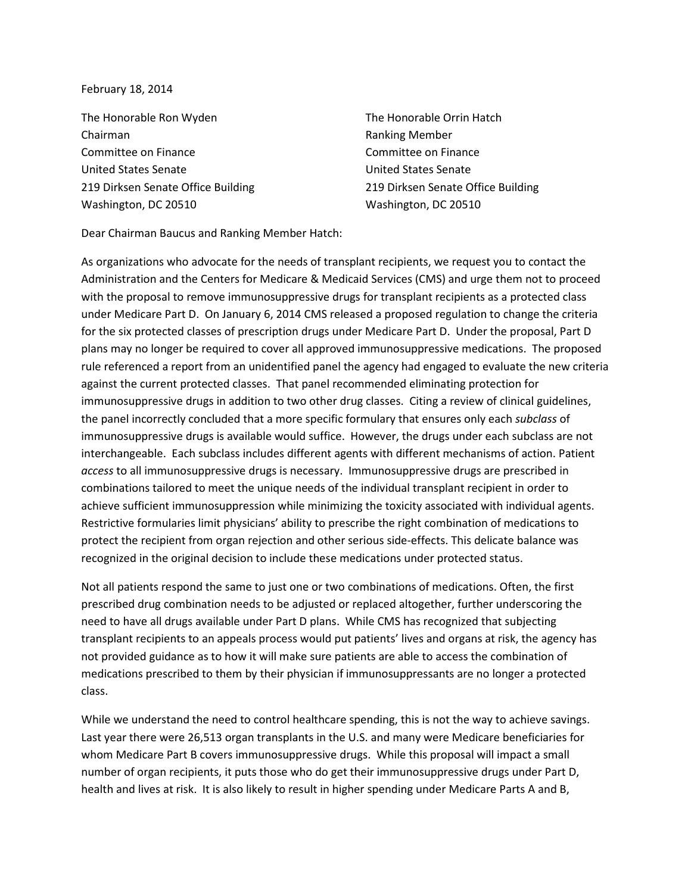## February 18, 2014

The Honorable Ron Wyden Chairman Committee on Finance United States Senate 219 Dirksen Senate Office Building Washington, DC 20510

The Honorable Orrin Hatch Ranking Member Committee on Finance United States Senate 219 Dirksen Senate Office Building Washington, DC 20510

Dear Chairman Baucus and Ranking Member Hatch:

As organizations who advocate for the needs of transplant recipients, we request you to contact the Administration and the Centers for Medicare & Medicaid Services (CMS) and urge them not to proceed with the proposal to remove immunosuppressive drugs for transplant recipients as a protected class under Medicare Part D. On January 6, 2014 CMS released a proposed regulation to change the criteria for the six protected classes of prescription drugs under Medicare Part D. Under the proposal, Part D plans may no longer be required to cover all approved immunosuppressive medications. The proposed rule referenced a report from an unidentified panel the agency had engaged to evaluate the new criteria against the current protected classes. That panel recommended eliminating protection for immunosuppressive drugs in addition to two other drug classes. Citing a review of clinical guidelines, the panel incorrectly concluded that a more specific formulary that ensures only each subclass of immunosuppressive drugs is available would suffice. However, the drugs under each subclass are not interchangeable. Each subclass includes different agents with different mechanisms of action. Patient access to all immunosuppressive drugs is necessary. Immunosuppressive drugs are prescribed in combinations tailored to meet the unique needs of the individual transplant recipient in order to achieve sufficient immunosuppression while minimizing the toxicity associated with individual agents. Restrictive formularies limit physicians' ability to prescribe the right combination of medications to protect the recipient from organ rejection and other serious side-effects. This delicate balance was recognized in the original decision to include these medications under protected status.

Not all patients respond the same to just one or two combinations of medications. Often, the first prescribed drug combination needs to be adjusted or replaced altogether, further underscoring the need to have all drugs available under Part D plans. While CMS has recognized that subjecting transplant recipients to an appeals process would put patients' lives and organs at risk, the agency has not provided guidance as to how it will make sure patients are able to access the combination of medications prescribed to them by their physician if immunosuppressants are no longer a protected class.

While we understand the need to control healthcare spending, this is not the way to achieve savings. Last year there were 26,513 organ transplants in the U.S. and many were Medicare beneficiaries for whom Medicare Part B covers immunosuppressive drugs. While this proposal will impact a small number of organ recipients, it puts those who do get their immunosuppressive drugs under Part D, health and lives at risk. It is also likely to result in higher spending under Medicare Parts A and B,